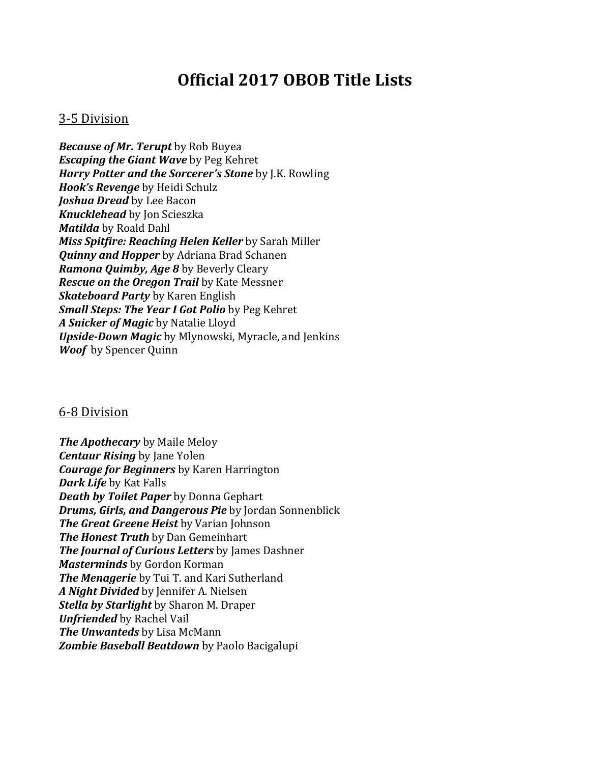## **Official'2017'OBOB'Title'Lists**

## 3-5 Division

*Because of Mr. Terupt* by Rob Buyea *Escaping the Giant Wave* by Peg Kehret *Harry Potter and the Sorcerer's Stone* by J.K. Rowling *Hook's Revenge* by Heidi Schulz *Joshua Dread* by Lee Bacon *Knucklehead* by Jon Scieszka *Matilda* by Roald Dahl *Miss Spitfire: Reaching Helen Keller* by Sarah Miller **Quinny and Hopper** by Adriana Brad Schanen *Ramona Quimby, Age 8* by Beverly Cleary *Rescue on the Oregon Trail* by Kate Messner *Skateboard Party* by Karen English *Small Steps: The Year I Got Polio* by Peg Kehret A Snicker of Magic by Natalie Lloyd *Upside-Down Magic* by Mlynowski, Myracle, and Jenkins *Woof* by Spencer Quinn

## 6-8 Division

*The Apothecary* by Maile Meloy *Centaur Rising* by Jane Yolen *Courage for Beginners* by Karen Harrington *Dark Life* by Kat Falls *Death by Toilet Paper* by Donna Gephart *Drums, Girls, and Dangerous Pie by Jordan Sonnenblick The Great Greene Heist* by Varian Johnson *The Honest Truth* by Dan Gemeinhart *The Journal of Curious Letters* by James Dashner *Masterminds* by Gordon Korman **The Menagerie** by Tui T. and Kari Sutherland A Night Divided by Jennifer A. Nielsen **Stella by Starlight** by Sharon M. Draper *Unfriended* by Rachel Vail *The Unwanteds* by Lisa McMann **Zombie Baseball Beatdown** by Paolo Bacigalupi